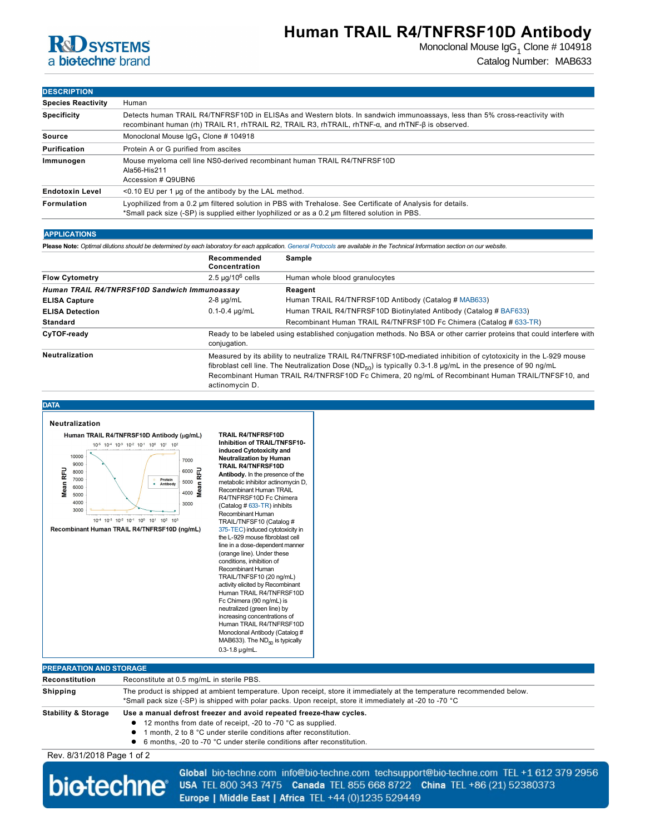# **RCD SYSTEMS** a biotechne brand

### **Human TRAIL R4/TNFRSF10D Antibody**

Monoclonal Mouse Ig ${\sf G}_1$  Clone # 104918 Catalog Number: MAB633

### **DESCRIPTION**

| <b>Species Reactivity</b> | Human                                                                                                                                                                                                                           |  |  |
|---------------------------|---------------------------------------------------------------------------------------------------------------------------------------------------------------------------------------------------------------------------------|--|--|
| <b>Specificity</b>        | Detects human TRAIL R4/TNFRSF10D in ELISAs and Western blots. In sandwich immunoassays, less than 5% cross-reactivity with<br>recombinant human (rh) TRAIL R1, rhTRAIL R2, TRAIL R3, rhTRAIL, rhTNF-α, and rhTNF-β is observed. |  |  |
| Source                    | Monoclonal Mouse IgG <sub>1</sub> Clone # 104918                                                                                                                                                                                |  |  |
| Purification              | Protein A or G purified from ascites                                                                                                                                                                                            |  |  |
| Immunogen                 | Mouse myeloma cell line NS0-derived recombinant human TRAIL R4/TNFRSF10D<br>Ala56-His211<br>Accession # Q9UBN6                                                                                                                  |  |  |
| <b>Endotoxin Level</b>    | $\leq$ 0.10 EU per 1 µg of the antibody by the LAL method.                                                                                                                                                                      |  |  |
| Formulation               | Lyophilized from a 0.2 um filtered solution in PBS with Trehalose. See Certificate of Analysis for details.<br>*Small pack size (-SP) is supplied either lyophilized or as a 0.2 µm filtered solution in PBS.                   |  |  |

#### **APPLICATIONS**

**Please Note:** *Optimal dilutions should be determined by each laboratory for each application. [General Protocols](http://www.rndsystems.com/resources/protocols-troubleshooting-guides) are available in the Technical Information section on our website.*

|                                               | Recommended<br>Concentration                                                                                                                                                                                                                                                                                                                                       | Sample                                                             |  |
|-----------------------------------------------|--------------------------------------------------------------------------------------------------------------------------------------------------------------------------------------------------------------------------------------------------------------------------------------------------------------------------------------------------------------------|--------------------------------------------------------------------|--|
| <b>Flow Cytometry</b>                         | $2.5 \mu q/10^6$ cells                                                                                                                                                                                                                                                                                                                                             | Human whole blood granulocytes                                     |  |
| Human TRAIL R4/TNFRSF10D Sandwich Immunoassay |                                                                                                                                                                                                                                                                                                                                                                    | Reagent                                                            |  |
| <b>ELISA Capture</b>                          | $2-8$ µg/mL                                                                                                                                                                                                                                                                                                                                                        | Human TRAIL R4/TNFRSF10D Antibody (Catalog # MAB633)               |  |
| <b>ELISA Detection</b>                        | $0.1 - 0.4 \mu q/mL$                                                                                                                                                                                                                                                                                                                                               | Human TRAIL R4/TNFRSF10D Biotinylated Antibody (Catalog # BAF633)  |  |
| <b>Standard</b>                               |                                                                                                                                                                                                                                                                                                                                                                    | Recombinant Human TRAIL R4/TNFRSF10D Fc Chimera (Catalog # 633-TR) |  |
| CyTOF-ready                                   | Ready to be labeled using established conjugation methods. No BSA or other carrier proteins that could interfere with<br>conjugation.                                                                                                                                                                                                                              |                                                                    |  |
| Neutralization                                | Measured by its ability to neutralize TRAIL R4/TNFRSF10D-mediated inhibition of cytotoxicity in the L-929 mouse<br>fibroblast cell line. The Neutralization Dose (ND <sub>50</sub> ) is typically 0.3-1.8 µg/mL in the presence of 90 ng/mL<br>Recombinant Human TRAIL R4/TNFRSF10D Fc Chimera, 20 ng/mL of Recombinant Human TRAIL/TNFSF10, and<br>actinomycin D. |                                                                    |  |

#### **DATA**



**TRAIL R4/TNFRSF10D Inhibition of TRAIL/TNFSF10 induced Cytotoxicity and Neutralization by Human TRAIL R4/TNFRSF10D Antibody.** In the presence of the metabolic inhibitor actinomycin D, Recombinant Human TRAIL R4/TNFRSF10D Fc Chimera (Catalog  $#$  633-TR) inhibits Recombinant Human [TRAIL/TN](http://www.rndsystems.com/search?keywords=375-TEC)FSF10 (Catalog # 375-TEC) induced cytotoxicity in the L-929 mouse fibroblast cell line in a dose-dependent manner (orange line). Under these conditions, inhibition of Recombinant Human TRAIL/TNFSF10 (20 ng/mL) activity elicited by Recombinant Human TRAIL R4/TNFRSF10D Fc Chimera (90 ng/mL) is neutralized (green line) by increasing concentrations of Human TRAIL R4/TNFRSF10D Monoclonal Antibody (Catalog # MAB633). The  $ND_{50}$  is typically  $0.3 - 1.8$   $\mu$ g/mL.

### **PREPARATION AND STORAGE**

| Reconstitution                 | Reconstitute at 0.5 mg/mL in sterile PBS.                                                                               |  |  |
|--------------------------------|-------------------------------------------------------------------------------------------------------------------------|--|--|
| Shipping                       | The product is shipped at ambient temperature. Upon receipt, store it immediately at the temperature recommended below. |  |  |
|                                | *Small pack size (-SP) is shipped with polar packs. Upon receipt, store it immediately at -20 to -70 °C                 |  |  |
| <b>Stability &amp; Storage</b> | Use a manual defrost freezer and avoid repeated freeze-thaw cycles.                                                     |  |  |
|                                | 12 months from date of receipt, -20 to -70 °C as supplied.                                                              |  |  |
|                                | 1 month, 2 to 8 °C under sterile conditions after reconstitution.                                                       |  |  |
|                                |                                                                                                                         |  |  |

● 6 months, -20 to -70 °C under sterile conditions after reconstitution.

Rev. 8/31/2018 Page 1 of 2



Global bio-techne.com info@bio-techne.com techsupport@bio-techne.com TEL +1 612 379 2956 USA TEL 800 343 7475 Canada TEL 855 668 8722 China TEL +86 (21) 52380373 Europe | Middle East | Africa TEL +44 (0)1235 529449